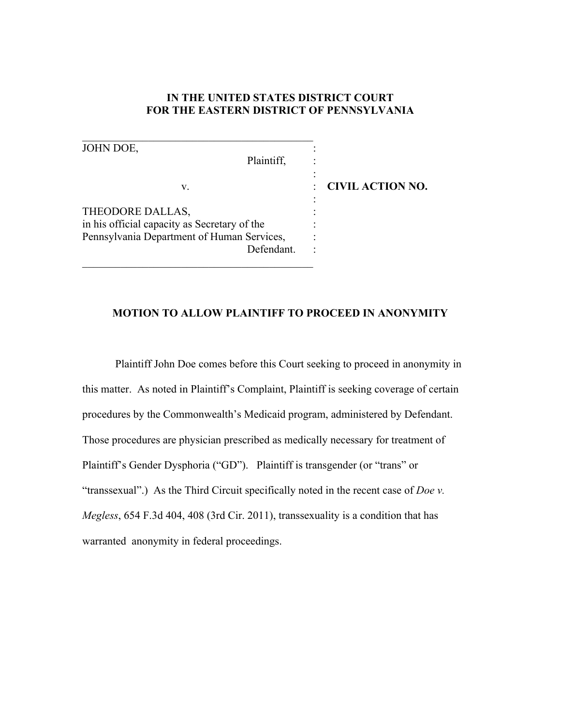# **IN THE UNITED STATES DISTRICT COURT FOR THE EASTERN DISTRICT OF PENNSYLVANIA**

| <b>CIVIL ACTION NO.</b> |
|-------------------------|
|                         |
|                         |

#### **MOTION TO ALLOW PLAINTIFF TO PROCEED IN ANONYMITY**

Plaintiff John Doe comes before this Court seeking to proceed in anonymity in this matter. As noted in Plaintiff's Complaint, Plaintiff is seeking coverage of certain procedures by the Commonwealth's Medicaid program, administered by Defendant. Those procedures are physician prescribed as medically necessary for treatment of Plaintiff's Gender Dysphoria ("GD"). Plaintiff is transgender (or "trans" or "transsexual".) As the Third Circuit specifically noted in the recent case of *Doe v. Megless*, 654 F.3d 404, 408 (3rd Cir. 2011), transsexuality is a condition that has warranted anonymity in federal proceedings.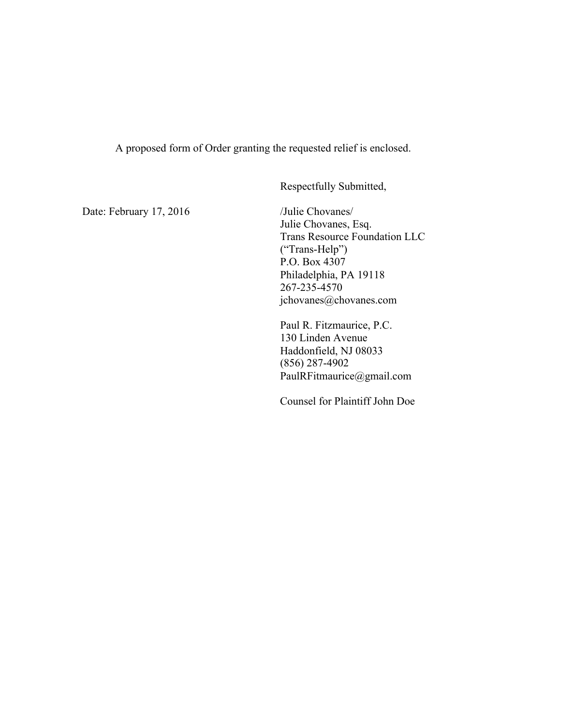A proposed form of Order granting the requested relief is enclosed.

Respectfully Submitted,

Date: February 17, 2016 /Julie Chovanes/

Julie Chovanes, Esq. Trans Resource Foundation LLC ("Trans-Help") P.O. Box 4307 Philadelphia, PA 19118 267-235-4570 jchovanes@chovanes.com

Paul R. Fitzmaurice, P.C. 130 Linden Avenue Haddonfield, NJ 08033 (856) 287-4902 PaulRFitmaurice@gmail.com

Counsel for Plaintiff John Doe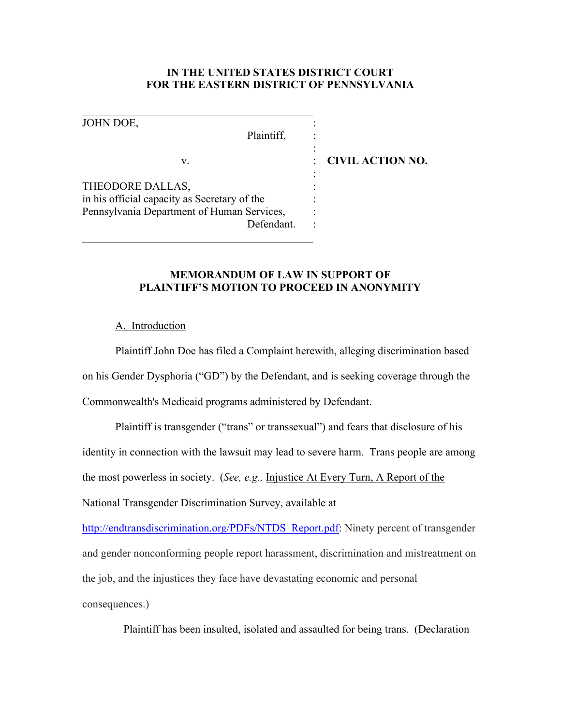## **IN THE UNITED STATES DISTRICT COURT FOR THE EASTERN DISTRICT OF PENNSYLVANIA**

:

:

JOHN DOE,

Plaintiff.

\_\_\_\_\_\_\_\_\_\_\_\_\_\_\_\_\_\_\_\_\_\_\_\_\_\_\_\_\_\_\_\_\_\_\_\_\_\_\_\_\_\_

v. : **CIVIL ACTION NO.**

THEODORE DALLAS, in his official capacity as Secretary of the : Pennsylvania Department of Human Services, : Defendant

\_\_\_\_\_\_\_\_\_\_\_\_\_\_\_\_\_\_\_\_\_\_\_\_\_\_\_\_\_\_\_\_\_\_\_\_\_\_\_\_\_\_

# **MEMORANDUM OF LAW IN SUPPORT OF PLAINTIFF'S MOTION TO PROCEED IN ANONYMITY**

### A. Introduction

Plaintiff John Doe has filed a Complaint herewith, alleging discrimination based on his Gender Dysphoria ("GD") by the Defendant, and is seeking coverage through the Commonwealth's Medicaid programs administered by Defendant.

Plaintiff is transgender ("trans" or transsexual") and fears that disclosure of his identity in connection with the lawsuit may lead to severe harm. Trans people are among the most powerless in society. (*See, e.g.,* Injustice At Every Turn, A Report of the National Transgender Discrimination Survey, available at

http://endtransdiscrimination.org/PDFs/NTDS\_Report.pdf: Ninety percent of transgender and gender nonconforming people report harassment, discrimination and mistreatment on the job, and the injustices they face have devastating economic and personal consequences.)

Plaintiff has been insulted, isolated and assaulted for being trans. (Declaration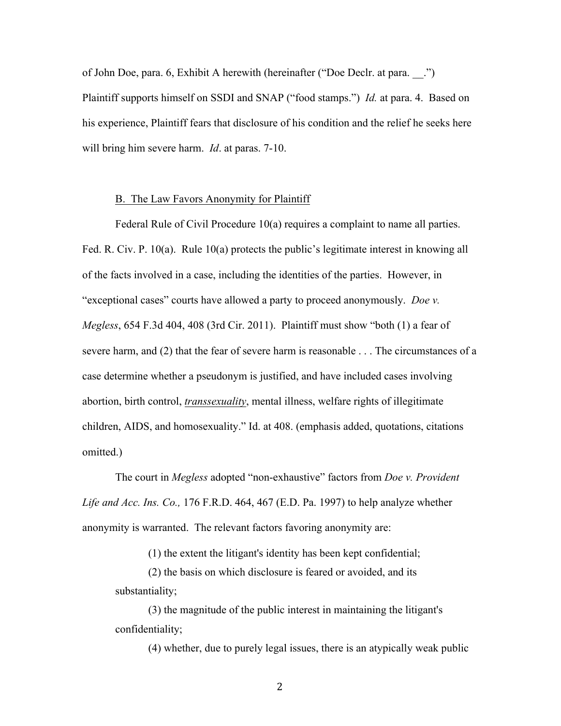of John Doe, para. 6, Exhibit A herewith (hereinafter ("Doe Declr. at para. \_\_.") Plaintiff supports himself on SSDI and SNAP ("food stamps.") *Id.* at para. 4. Based on his experience, Plaintiff fears that disclosure of his condition and the relief he seeks here will bring him severe harm. *Id*. at paras. 7-10.

#### B. The Law Favors Anonymity for Plaintiff

Federal Rule of Civil Procedure 10(a) requires a complaint to name all parties. Fed. R. Civ. P. 10(a). Rule 10(a) protects the public's legitimate interest in knowing all of the facts involved in a case, including the identities of the parties. However, in "exceptional cases" courts have allowed a party to proceed anonymously. *Doe v. Megless*, 654 F.3d 404, 408 (3rd Cir. 2011). Plaintiff must show "both (1) a fear of severe harm, and (2) that the fear of severe harm is reasonable . . . The circumstances of a case determine whether a pseudonym is justified, and have included cases involving abortion, birth control, *transsexuality*, mental illness, welfare rights of illegitimate children, AIDS, and homosexuality." Id. at 408. (emphasis added, quotations, citations omitted.)

The court in *Megless* adopted "non-exhaustive" factors from *Doe v. Provident Life and Acc. Ins. Co.,* 176 F.R.D. 464, 467 (E.D. Pa. 1997) to help analyze whether anonymity is warranted. The relevant factors favoring anonymity are:

(1) the extent the litigant's identity has been kept confidential;

(2) the basis on which disclosure is feared or avoided, and its substantiality;

(3) the magnitude of the public interest in maintaining the litigant's confidentiality;

(4) whether, due to purely legal issues, there is an atypically weak public

2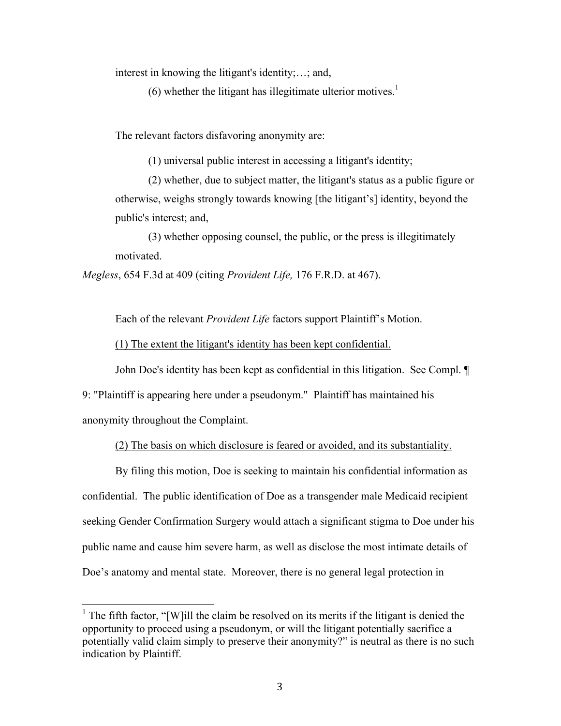interest in knowing the litigant's identity;…; and,

(6) whether the litigant has illegitimate ulterior motives.<sup>1</sup>

The relevant factors disfavoring anonymity are:

(1) universal public interest in accessing a litigant's identity;

(2) whether, due to subject matter, the litigant's status as a public figure or otherwise, weighs strongly towards knowing [the litigant's] identity, beyond the public's interest; and,

(3) whether opposing counsel, the public, or the press is illegitimately motivated.

*Megless*, 654 F.3d at 409 (citing *Provident Life,* 176 F.R.D. at 467).

Each of the relevant *Provident Life* factors support Plaintiff's Motion.

(1) The extent the litigant's identity has been kept confidential.

John Doe's identity has been kept as confidential in this litigation. See Compl. ¶

9: "Plaintiff is appearing here under a pseudonym." Plaintiff has maintained his anonymity throughout the Complaint.

## (2) The basis on which disclosure is feared or avoided, and its substantiality.

By filing this motion, Doe is seeking to maintain his confidential information as confidential. The public identification of Doe as a transgender male Medicaid recipient seeking Gender Confirmation Surgery would attach a significant stigma to Doe under his public name and cause him severe harm, as well as disclose the most intimate details of Doe's anatomy and mental state. Moreover, there is no general legal protection in

<sup>&</sup>lt;sup>1</sup> The fifth factor, "[W]ill the claim be resolved on its merits if the litigant is denied the opportunity to proceed using a pseudonym, or will the litigant potentially sacrifice a potentially valid claim simply to preserve their anonymity?" is neutral as there is no such indication by Plaintiff.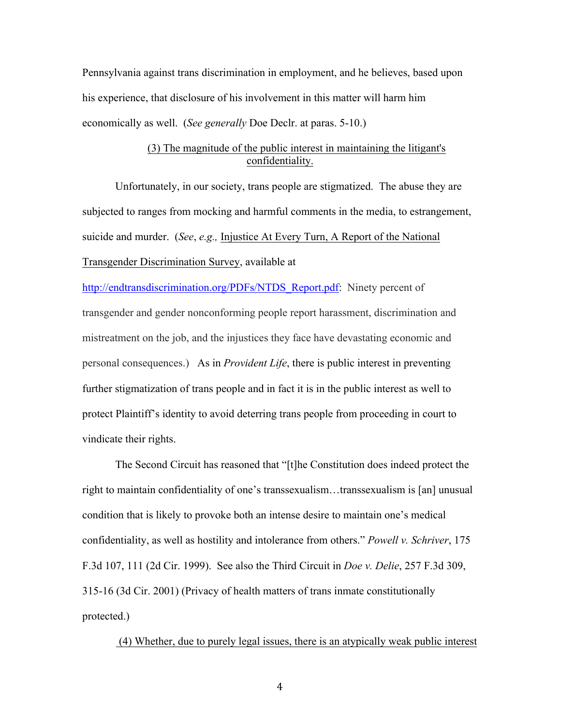Pennsylvania against trans discrimination in employment, and he believes, based upon his experience, that disclosure of his involvement in this matter will harm him economically as well. (*See generally* Doe Declr. at paras. 5-10.)

## (3) The magnitude of the public interest in maintaining the litigant's confidentiality.

Unfortunately, in our society, trans people are stigmatized. The abuse they are subjected to ranges from mocking and harmful comments in the media, to estrangement, suicide and murder. (*See*, *e.g.,* Injustice At Every Turn, A Report of the National Transgender Discrimination Survey, available at

http://endtransdiscrimination.org/PDFs/NTDS\_Report.pdf: Ninety percent of transgender and gender nonconforming people report harassment, discrimination and mistreatment on the job, and the injustices they face have devastating economic and personal consequences.) As in *Provident Life*, there is public interest in preventing further stigmatization of trans people and in fact it is in the public interest as well to protect Plaintiff's identity to avoid deterring trans people from proceeding in court to vindicate their rights.

The Second Circuit has reasoned that "[t]he Constitution does indeed protect the right to maintain confidentiality of one's transsexualism…transsexualism is [an] unusual condition that is likely to provoke both an intense desire to maintain one's medical confidentiality, as well as hostility and intolerance from others." *Powell v. Schriver*, 175 F.3d 107, 111 (2d Cir. 1999). See also the Third Circuit in *Doe v. Delie*, 257 F.3d 309, 315-16 (3d Cir. 2001) (Privacy of health matters of trans inmate constitutionally protected.)

(4) Whether, due to purely legal issues, there is an atypically weak public interest

4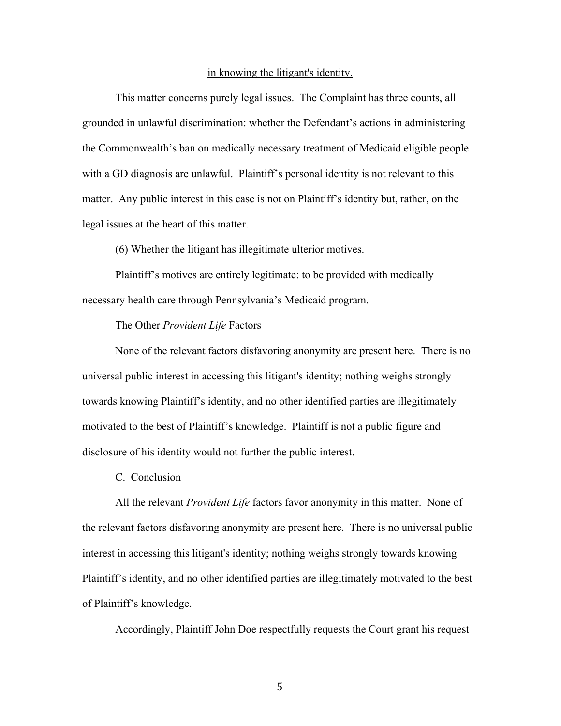#### in knowing the litigant's identity.

This matter concerns purely legal issues. The Complaint has three counts, all grounded in unlawful discrimination: whether the Defendant's actions in administering the Commonwealth's ban on medically necessary treatment of Medicaid eligible people with a GD diagnosis are unlawful. Plaintiff's personal identity is not relevant to this matter. Any public interest in this case is not on Plaintiff's identity but, rather, on the legal issues at the heart of this matter.

#### (6) Whether the litigant has illegitimate ulterior motives.

Plaintiff's motives are entirely legitimate: to be provided with medically necessary health care through Pennsylvania's Medicaid program.

#### The Other *Provident Life* Factors

None of the relevant factors disfavoring anonymity are present here. There is no universal public interest in accessing this litigant's identity; nothing weighs strongly towards knowing Plaintiff's identity, and no other identified parties are illegitimately motivated to the best of Plaintiff's knowledge. Plaintiff is not a public figure and disclosure of his identity would not further the public interest.

#### C. Conclusion

All the relevant *Provident Life* factors favor anonymity in this matter. None of the relevant factors disfavoring anonymity are present here. There is no universal public interest in accessing this litigant's identity; nothing weighs strongly towards knowing Plaintiff's identity, and no other identified parties are illegitimately motivated to the best of Plaintiff's knowledge.

Accordingly, Plaintiff John Doe respectfully requests the Court grant his request

5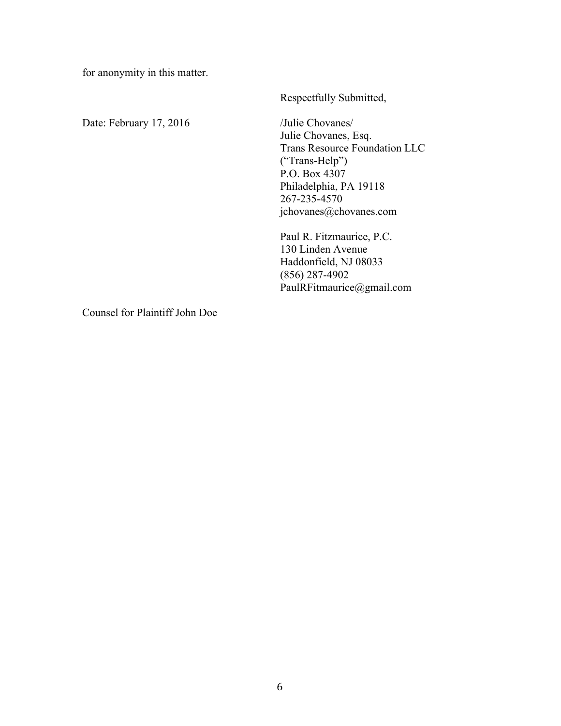for anonymity in this matter.

Date: February 17, 2016 /Julie Chovanes/

Respectfully Submitted,

Julie Chovanes, Esq. Trans Resource Foundation LLC ("Trans-Help") P.O. Box 4307 Philadelphia, PA 19118 267-235-4570 jchovanes@chovanes.com

Paul R. Fitzmaurice, P.C. 130 Linden Avenue Haddonfield, NJ 08033 (856) 287-4902 PaulRFitmaurice@gmail.com

Counsel for Plaintiff John Doe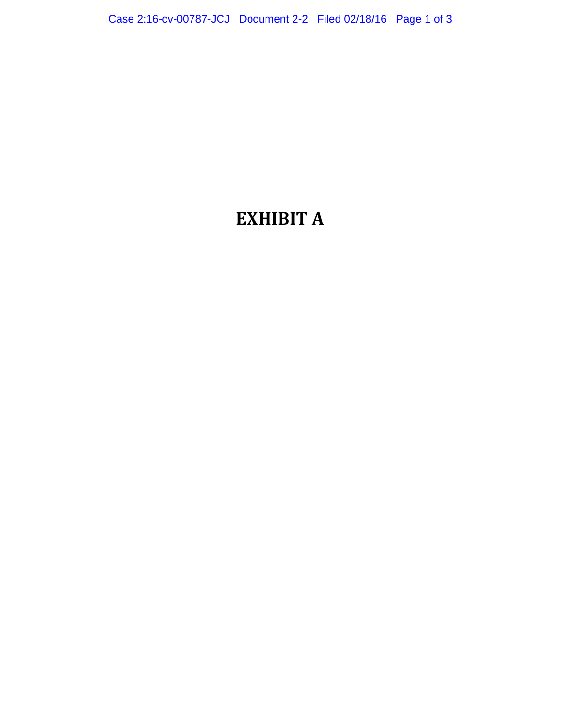# **EXHIBIT A**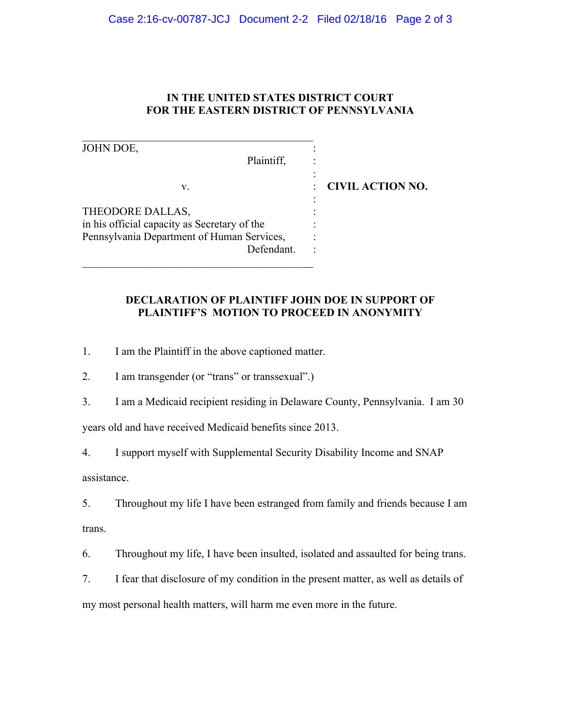# **IN THE UNITED STATES DISTRICT COURT FOR THE EASTERN DISTRICT OF PENNSYLVANIA**

| JOHN DOE,                                    |                         |
|----------------------------------------------|-------------------------|
| Plaintiff,                                   |                         |
|                                              |                         |
| V.                                           | <b>CIVIL ACTION NO.</b> |
|                                              |                         |
| THEODORE DALLAS,                             |                         |
| in his official capacity as Secretary of the |                         |
| Pennsylvania Department of Human Services,   |                         |
| Defendant.                                   |                         |
|                                              |                         |

## **DECLARATION OF PLAINTIFF JOHN DOE IN SUPPORT OF PLAINTIFF'S MOTION TO PROCEED IN ANONYMITY**

1. I am the Plaintiff in the above captioned matter.

2. I am transgender (or "trans" or transsexual".)

\_\_\_\_\_\_\_\_\_\_\_\_\_\_\_\_\_\_\_\_\_\_\_\_\_\_\_\_\_\_\_\_\_\_\_\_\_\_\_\_\_\_

3. I am a Medicaid recipient residing in Delaware County, Pennsylvania. I am 30

years old and have received Medicaid benefits since 2013.

4. I support myself with Supplemental Security Disability Income and SNAP

assistance.

5. Throughout my life I have been estranged from family and friends because I am trans.

6. Throughout my life, I have been insulted, isolated and assaulted for being trans.

7. I fear that disclosure of my condition in the present matter, as well as details of my most personal health matters, will harm me even more in the future.